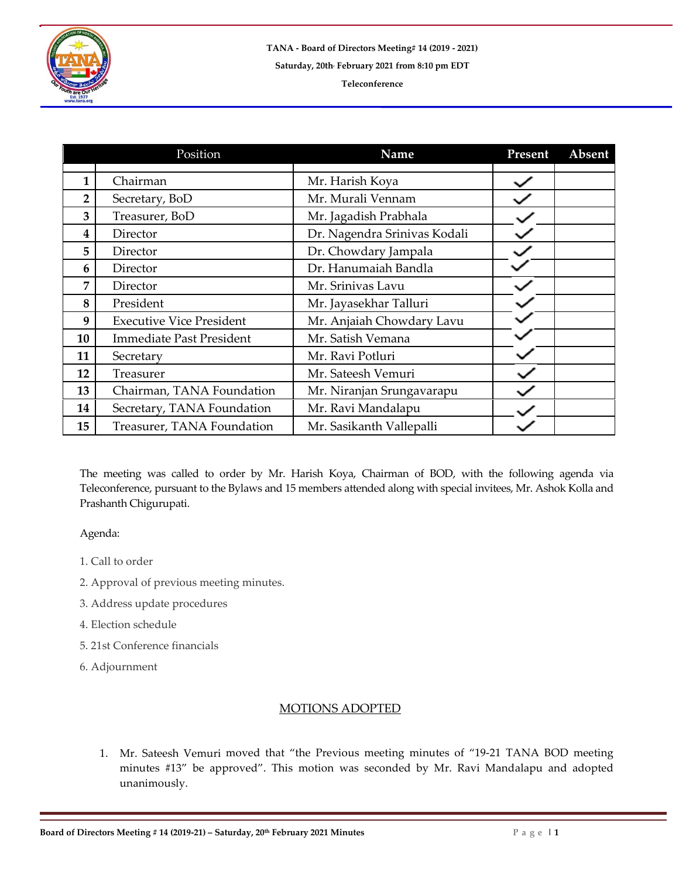

|                | Position                        | Name                         | Present | <b>Absent</b> |
|----------------|---------------------------------|------------------------------|---------|---------------|
|                |                                 |                              |         |               |
| 1              | Chairman                        | Mr. Harish Koya              |         |               |
| $\overline{2}$ | Secretary, BoD                  | Mr. Murali Vennam            |         |               |
| 3              | Treasurer, BoD                  | Mr. Jagadish Prabhala        |         |               |
| 4              | Director                        | Dr. Nagendra Srinivas Kodali |         |               |
| 5              | Director                        | Dr. Chowdary Jampala         |         |               |
| 6              | Director                        | Dr. Hanumaiah Bandla         |         |               |
| 7              | Director                        | Mr. Srinivas Lavu            |         |               |
| 8              | President                       | Mr. Jayasekhar Talluri       |         |               |
| 9              | <b>Executive Vice President</b> | Mr. Anjaiah Chowdary Lavu    |         |               |
| 10             | <b>Immediate Past President</b> | Mr. Satish Vemana            |         |               |
| 11             | Secretary                       | Mr. Ravi Potluri             |         |               |
| 12             | Treasurer                       | Mr. Sateesh Vemuri           |         |               |
| 13             | Chairman, TANA Foundation       | Mr. Niranjan Srungavarapu    |         |               |
| 14             | Secretary, TANA Foundation      | Mr. Ravi Mandalapu           |         |               |
| 15             | Treasurer, TANA Foundation      | Mr. Sasikanth Vallepalli     |         |               |

The meeting was called to order by Mr. Harish Koya, Chairman of BOD, with the following agenda via Teleconference, pursuant to the Bylaws and 15 members attended along with special invitees, Mr. Ashok Kolla and Prashanth Chigurupati.

## Agenda:

- 1. Call to order
- 2. Approval of previous meeting minutes.
- 3. Address update procedures
- 4. Election schedule
- 5. 21st Conference financials
- 6. Adjournment

## MOTIONS ADOPTED

1. Mr. Sateesh Vemuri moved that "the Previous meeting minutes of "19-21 TANA BOD meeting minutes #13" be approved". This motion was seconded by Mr. Ravi Mandalapu and adopted unanimously.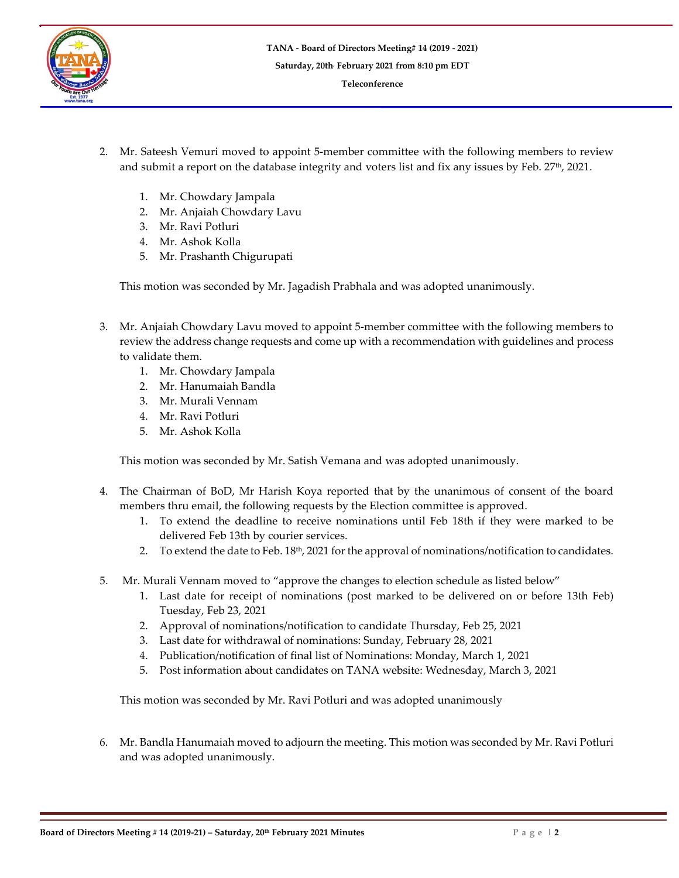

- 2. Mr. Sateesh Vemuri moved to appoint 5-member committee with the following members to review and submit a report on the database integrity and voters list and fix any issues by Feb. 27th, 2021.
	- 1. Mr. Chowdary Jampala
	- 2. Mr. Anjaiah Chowdary Lavu
	- 3. Mr. Ravi Potluri
	- 4. Mr. Ashok Kolla
	- 5. Mr. Prashanth Chigurupati

This motion was seconded by Mr. Jagadish Prabhala and was adopted unanimously.

- 3. Mr. Anjaiah Chowdary Lavu moved to appoint 5-member committee with the following members to review the address change requests and come up with a recommendation with guidelines and process to validate them.
	- 1. Mr. Chowdary Jampala
	- 2. Mr. Hanumaiah Bandla
	- 3. Mr. Murali Vennam
	- 4. Mr. Ravi Potluri
	- 5. Mr. Ashok Kolla

This motion was seconded by Mr. Satish Vemana and was adopted unanimously.

- 4. The Chairman of BoD, Mr Harish Koya reported that by the unanimous of consent of the board members thru email, the following requests by the Election committee is approved.
	- 1. To extend the deadline to receive nominations until Feb 18th if they were marked to be delivered Feb 13th by courier services.
	- 2. To extend the date to Feb. 18th, 2021 for the approval of nominations/notification to candidates.
- 5. Mr. Murali Vennam moved to "approve the changes to election schedule as listed below"
	- 1. Last date for receipt of nominations (post marked to be delivered on or before 13th Feb) Tuesday, Feb 23, 2021
	- 2. Approval of nominations/notification to candidate Thursday, Feb 25, 2021
	- 3. Last date for withdrawal of nominations: Sunday, February 28, 2021
	- 4. Publication/notification of final list of Nominations: Monday, March 1, 2021
	- 5. Post information about candidates on TANA website: Wednesday, March 3, 2021

This motion was seconded by Mr. Ravi Potluri and was adopted unanimously

6. Mr. Bandla Hanumaiah moved to adjourn the meeting. This motion was seconded by Mr. Ravi Potluri and was adopted unanimously.